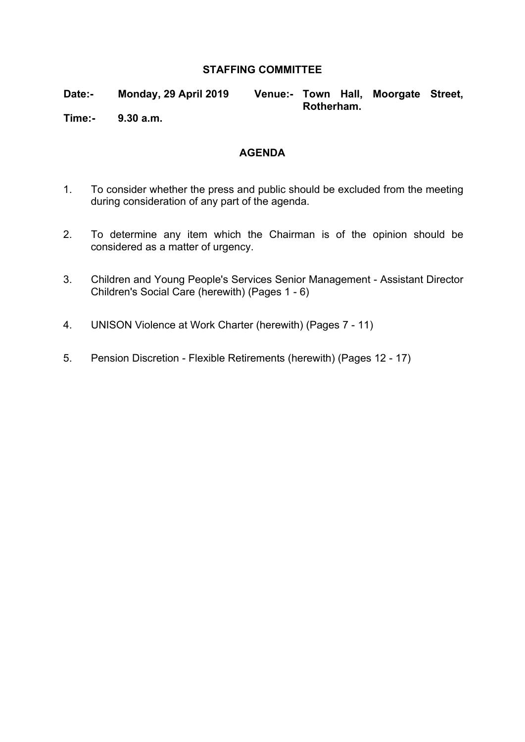#### **STAFFING COMMITTEE**

**Date:- Monday, 29 April 2019 Venue:- Town Hall, Moorgate Street, Rotherham.**

**Time:- 9.30 a.m.**

#### **AGENDA**

- 1. To consider whether the press and public should be excluded from the meeting during consideration of any part of the agenda.
- 2. To determine any item which the Chairman is of the opinion should be considered as a matter of urgency.
- 3. Children and Young People's Services Senior Management Assistant Director Children's Social Care (herewith) (Pages 1 - 6)
- 4. UNISON Violence at Work Charter (herewith) (Pages 7 11)
- 5. Pension Discretion Flexible Retirements (herewith) (Pages 12 17)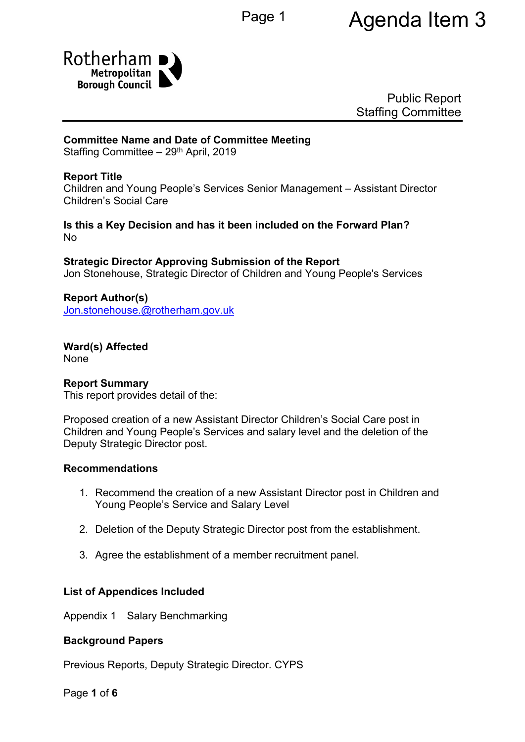

Public Report Staffing Committee

#### **Committee Name and Date of Committee Meeting**

Staffing Committee - 29<sup>th</sup> April, 2019

#### **Report Title**

Children and Young People's Services Senior Management – Assistant Director Children's Social Care

#### **Is this a Key Decision and has it been included on the Forward Plan?** No

**Strategic Director Approving Submission of the Report** Jon Stonehouse, Strategic Director of Children and Young People's Services

<span id="page-1-0"></span>**Report Author(s)** [Jon.stonehouse.@rotherham.gov.uk](mailto:Jon.stonehouse.@rotherham.gov.uk)

**Ward(s) Affected** None

#### **Report Summary**

This report provides detail of the:

Proposed creation of a new Assistant Director Children's Social Care post in Children and Young People's Services and salary level and the deletion of the Deputy Strategic Director post.

#### **Recommendations**

- 1. Recommend the creation of a new Assistant Director post in Children and Young People's Service and Salary Level
- 2. Deletion of the Deputy Strategic Director post from the establishment.
- 3. Agree the establishment of a member recruitment panel.

#### **List of Appendices Included**

Appendix 1 Salary Benchmarking

#### **Background Papers**

Previous Reports, Deputy Strategic Director. CYPS

Page **1** of **6**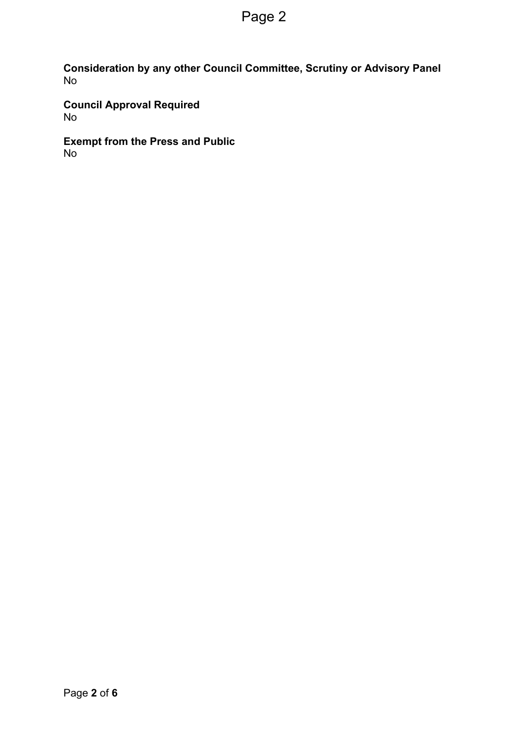**Consideration by any other Council Committee, Scrutiny or Advisory Panel** No

**Council Approval Required** No

**Exempt from the Press and Public** No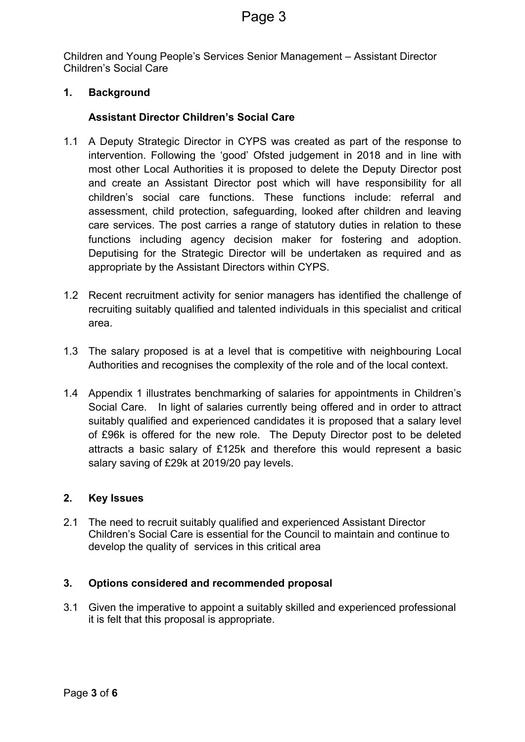Children and Young People's Services Senior Management – Assistant Director Children's Social Care

#### **1. Background**

#### **Assistant Director Children's Social Care**

- 1.1 A Deputy Strategic Director in CYPS was created as part of the response to intervention. Following the 'good' Ofsted judgement in 2018 and in line with most other Local Authorities it is proposed to delete the Deputy Director post and create an Assistant Director post which will have responsibility for all children's social care functions. These functions include: referral and assessment, child protection, safeguarding, looked after children and leaving care services. The post carries a range of statutory duties in relation to these functions including agency decision maker for fostering and adoption. Deputising for the Strategic Director will be undertaken as required and as appropriate by the Assistant Directors within CYPS.
- 1.2 Recent recruitment activity for senior managers has identified the challenge of recruiting suitably qualified and talented individuals in this specialist and critical area.
- 1.3 The salary proposed is at a level that is competitive with neighbouring Local Authorities and recognises the complexity of the role and of the local context.
- 1.4 Appendix 1 illustrates benchmarking of salaries for appointments in Children's Social Care. In light of salaries currently being offered and in order to attract suitably qualified and experienced candidates it is proposed that a salary level of £96k is offered for the new role. The Deputy Director post to be deleted attracts a basic salary of £125k and therefore this would represent a basic salary saving of £29k at 2019/20 pay levels.

#### **2. Key Issues**

2.1 The need to recruit suitably qualified and experienced Assistant Director Children's Social Care is essential for the Council to maintain and continue to develop the quality of services in this critical area

#### **3. Options considered and recommended proposal**

3.1 Given the imperative to appoint a suitably skilled and experienced professional it is felt that this proposal is appropriate.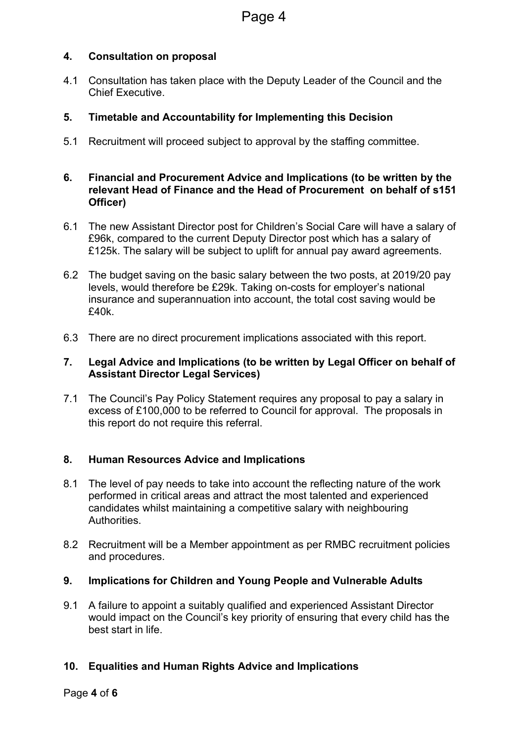#### **4. Consultation on proposal**

4.1 Consultation has taken place with the Deputy Leader of the Council and the Chief Executive.

#### **5. Timetable and Accountability for Implementing this Decision**

5.1 Recruitment will proceed subject to approval by the staffing committee.

#### **6. Financial and Procurement Advice and Implications (to be written by the relevant Head of Finance and the Head of Procurement on behalf of s151 Officer)**

- 6.1 The new Assistant Director post for Children's Social Care will have a salary of £96k, compared to the current Deputy Director post which has a salary of £125k. The salary will be subject to uplift for annual pay award agreements.
- 6.2 The budget saving on the basic salary between the two posts, at 2019/20 pay levels, would therefore be £29k. Taking on-costs for employer's national insurance and superannuation into account, the total cost saving would be £40k.
- 6.3 There are no direct procurement implications associated with this report.

#### **7. Legal Advice and Implications (to be written by Legal Officer on behalf of Assistant Director Legal Services)**

7.1 The Council's Pay Policy Statement requires any proposal to pay a salary in excess of £100,000 to be referred to Council for approval. The proposals in this report do not require this referral.

#### **8. Human Resources Advice and Implications**

- 8.1 The level of pay needs to take into account the reflecting nature of the work performed in critical areas and attract the most talented and experienced candidates whilst maintaining a competitive salary with neighbouring **Authorities**
- 8.2 Recruitment will be a Member appointment as per RMBC recruitment policies and procedures.

#### **9. Implications for Children and Young People and Vulnerable Adults**

9.1 A failure to appoint a suitably qualified and experienced Assistant Director would impact on the Council's key priority of ensuring that every child has the best start in life.

#### **10. Equalities and Human Rights Advice and Implications**

#### Page **4** of **6**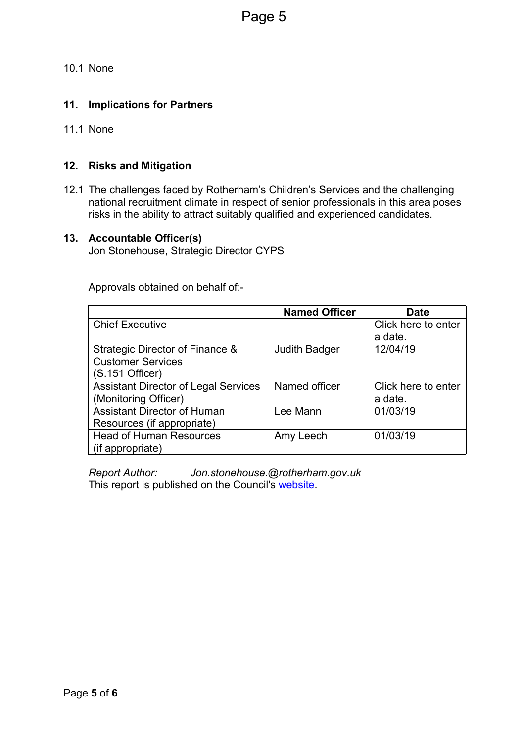10.1 None

#### **11. Implications for Partners**

11.1 None

#### **12. Risks and Mitigation**

12.1 The challenges faced by Rotherham's Children's Services and the challenging national recruitment climate in respect of senior professionals in this area poses risks in the ability to attract suitably qualified and experienced candidates.

#### **13. Accountable Officer(s)**

Jon Stonehouse, Strategic Director CYPS

Approvals obtained on behalf of:-

|                                             | <b>Named Officer</b> | Date                |
|---------------------------------------------|----------------------|---------------------|
| <b>Chief Executive</b>                      |                      | Click here to enter |
|                                             |                      | a date.             |
| Strategic Director of Finance &             | <b>Judith Badger</b> | 12/04/19            |
| <b>Customer Services</b>                    |                      |                     |
| (S.151 Officer)                             |                      |                     |
| <b>Assistant Director of Legal Services</b> | Named officer        | Click here to enter |
| (Monitoring Officer)                        |                      | a date.             |
| <b>Assistant Director of Human</b>          | Lee Mann             | 01/03/19            |
| Resources (if appropriate)                  |                      |                     |
| <b>Head of Human Resources</b>              | Amy Leech            | 01/03/19            |
| (if appropriate)                            |                      |                     |

*Report Author: [Jon.stonehouse.@rotherham.gov.uk](#page-1-0)* This report is published on the Council's [website.](https://moderngov.rotherham.gov.uk/ieDocHome.aspx?Categories=)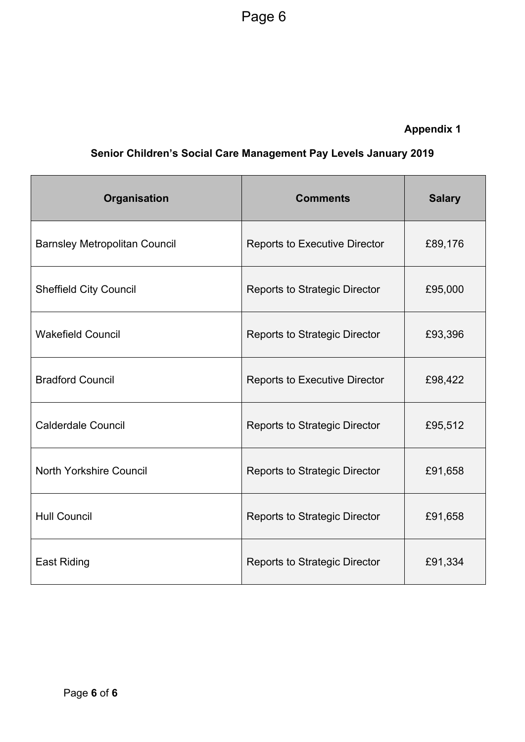### **Appendix 1**

### **Senior Children's Social Care Management Pay Levels January 2019**

| Organisation                         | <b>Comments</b>                      | <b>Salary</b> |
|--------------------------------------|--------------------------------------|---------------|
| <b>Barnsley Metropolitan Council</b> | <b>Reports to Executive Director</b> | £89,176       |
| <b>Sheffield City Council</b>        | <b>Reports to Strategic Director</b> | £95,000       |
| <b>Wakefield Council</b>             | <b>Reports to Strategic Director</b> | £93,396       |
| <b>Bradford Council</b>              | <b>Reports to Executive Director</b> | £98,422       |
| <b>Calderdale Council</b>            | <b>Reports to Strategic Director</b> | £95,512       |
| North Yorkshire Council              | <b>Reports to Strategic Director</b> | £91,658       |
| <b>Hull Council</b>                  | <b>Reports to Strategic Director</b> | £91,658       |
| <b>East Riding</b>                   | <b>Reports to Strategic Director</b> | £91,334       |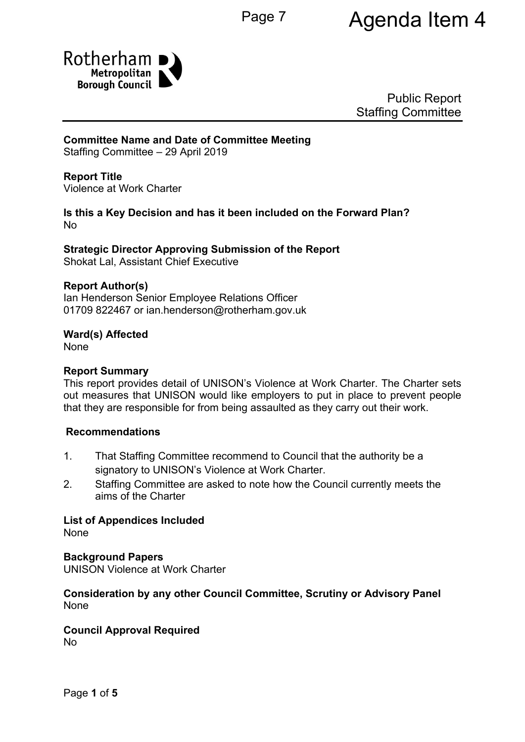# Page 7 **Agenda Item 4**



Public Report Staffing Committee

#### **Committee Name and Date of Committee Meeting**

Staffing Committee – 29 April 2019

#### **Report Title**

<span id="page-7-0"></span>Violence at Work Charter

#### **Is this a Key Decision and has it been included on the Forward Plan?** No

#### **Strategic Director Approving Submission of the Report**

Shokat Lal, Assistant Chief Executive

#### **Report Author(s)**

<span id="page-7-1"></span>Ian Henderson Senior Employee Relations Officer 01709 822467 or ian.henderson@rotherham.gov.uk

#### **Ward(s) Affected**

None

#### **Report Summary**

This report provides detail of UNISON's Violence at Work Charter. The Charter sets out measures that UNISON would like employers to put in place to prevent people that they are responsible for from being assaulted as they carry out their work.

#### **Recommendations**

- 1. That Staffing Committee recommend to Council that the authority be a signatory to UNISON's Violence at Work Charter.
- 2. Staffing Committee are asked to note how the Council currently meets the aims of the Charter

**List of Appendices Included** None

**Background Papers**

UNISON Violence at Work Charter

#### **Consideration by any other Council Committee, Scrutiny or Advisory Panel** None

## **Council Approval Required**

No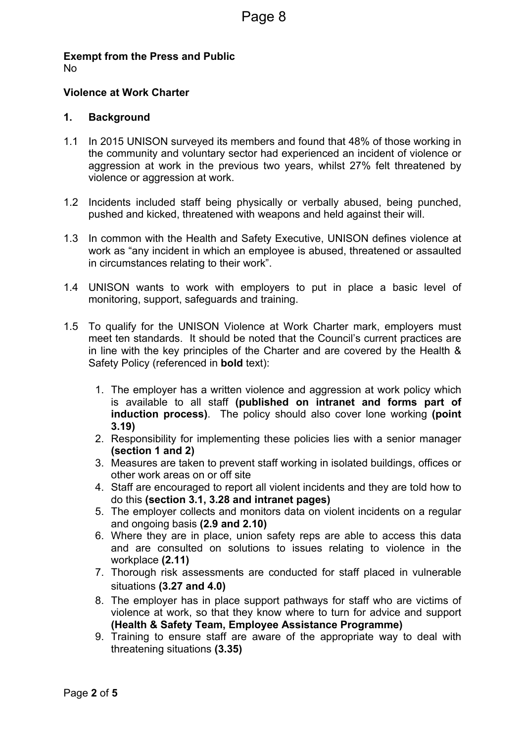**Exempt from the Press and Public** No

#### **[Violence](#page-7-0) at Work Charter**

#### **1. Background**

- 1.1 In 2015 UNISON surveyed its members and found that 48% of those working in the community and voluntary sector had experienced an incident of violence or aggression at work in the previous two years, whilst 27% felt threatened by violence or aggression at work.
- 1.2 Incidents included staff being physically or verbally abused, being punched, pushed and kicked, threatened with weapons and held against their will.
- 1.3 In common with the Health and Safety Executive, UNISON defines violence at work as "any incident in which an employee is abused, threatened or assaulted in circumstances relating to their work".
- 1.4 UNISON wants to work with employers to put in place a basic level of monitoring, support, safeguards and training.
- 1.5 To qualify for the UNISON Violence at Work Charter mark, employers must meet ten standards. It should be noted that the Council's current practices are in line with the key principles of the Charter and are covered by the Health & Safety Policy (referenced in **bold** text):
	- 1. The employer has a written violence and aggression at work policy which is available to all staff **(published on intranet and forms part of induction process)**. The policy should also cover lone working **(point 3.19)**
	- 2. Responsibility for implementing these policies lies with a senior manager **(section 1 and 2)**
	- 3. Measures are taken to prevent staff working in isolated buildings, offices or other work areas on or off site
	- 4. Staff are encouraged to report all violent incidents and they are told how to do this **(section 3.1, 3.28 and intranet pages)**
	- 5. The employer collects and monitors data on violent incidents on a regular and ongoing basis **(2.9 and 2.10)**
	- 6. Where they are in place, union safety reps are able to access this data and are consulted on solutions to issues relating to violence in the workplace **(2.11)**
	- 7. Thorough risk assessments are conducted for staff placed in vulnerable situations **(3.27 and 4.0)**
	- 8. The employer has in place support pathways for staff who are victims of violence at work, so that they know where to turn for advice and support **(Health & Safety Team, Employee Assistance Programme)**
	- 9. Training to ensure staff are aware of the appropriate way to deal with threatening situations **(3.35)**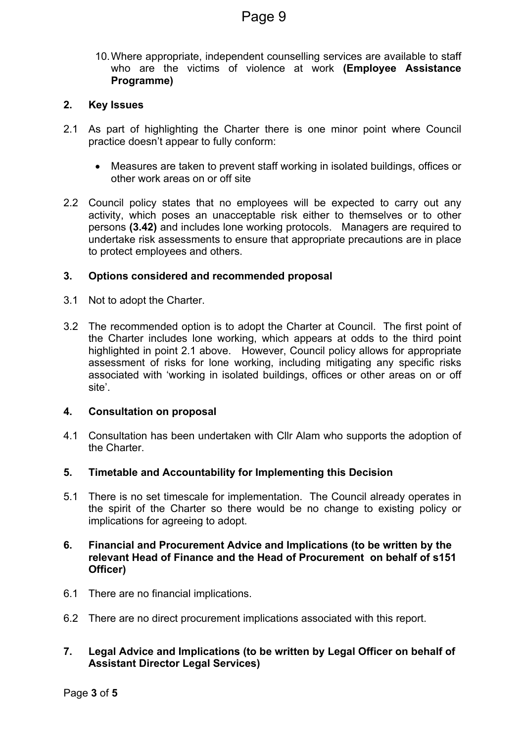10.Where appropriate, independent counselling services are available to staff who are the victims of violence at work **(Employee Assistance Programme)**

#### **2. Key Issues**

- 2.1 As part of highlighting the Charter there is one minor point where Council practice doesn't appear to fully conform:
	- Measures are taken to prevent staff working in isolated buildings, offices or other work areas on or off site
- 2.2 Council policy states that no employees will be expected to carry out any activity, which poses an unacceptable risk either to themselves or to other persons **(3.42)** and includes lone working protocols. Managers are required to undertake risk assessments to ensure that appropriate precautions are in place to protect employees and others.

#### **3. Options considered and recommended proposal**

- 3.1 Not to adopt the Charter.
- 3.2 The recommended option is to adopt the Charter at Council. The first point of the Charter includes lone working, which appears at odds to the third point highlighted in point 2.1 above. However, Council policy allows for appropriate assessment of risks for lone working, including mitigating any specific risks associated with 'working in isolated buildings, offices or other areas on or off site'.

#### **4. Consultation on proposal**

- 4.1 Consultation has been undertaken with Cllr Alam who supports the adoption of the Charter.
- **5. Timetable and Accountability for Implementing this Decision**
- 5.1 There is no set timescale for implementation. The Council already operates in the spirit of the Charter so there would be no change to existing policy or implications for agreeing to adopt.

#### **6. Financial and Procurement Advice and Implications (to be written by the relevant Head of Finance and the Head of Procurement on behalf of s151 Officer)**

- 6.1 There are no financial implications.
- 6.2 There are no direct procurement implications associated with this report.
- **7. Legal Advice and Implications (to be written by Legal Officer on behalf of Assistant Director Legal Services)**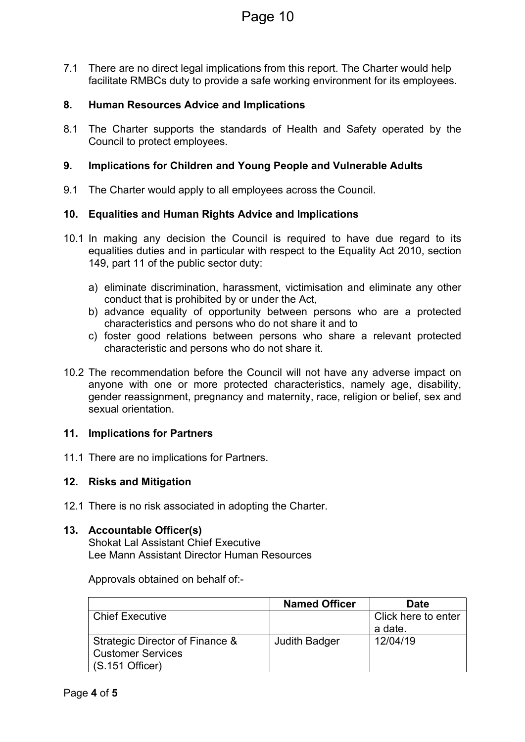7.1 There are no direct legal implications from this report. The Charter would help facilitate RMBCs duty to provide a safe working environment for its employees.

#### **8. Human Resources Advice and Implications**

8.1 The Charter supports the standards of Health and Safety operated by the Council to protect employees.

#### **9. Implications for Children and Young People and Vulnerable Adults**

9.1 The Charter would apply to all employees across the Council.

#### **10. Equalities and Human Rights Advice and Implications**

- 10.1 In making any decision the Council is required to have due regard to its equalities duties and in particular with respect to the Equality Act 2010, section 149, part 11 of the public sector duty:
	- a) eliminate discrimination, harassment, victimisation and eliminate any other conduct that is prohibited by or under the Act,
	- b) advance equality of opportunity between persons who are a protected characteristics and persons who do not share it and to
	- c) foster good relations between persons who share a relevant protected characteristic and persons who do not share it.
- 10.2 The recommendation before the Council will not have any adverse impact on anyone with one or more protected characteristics, namely age, disability, gender reassignment, pregnancy and maternity, race, religion or belief, sex and sexual orientation

#### **11. Implications for Partners**

11.1 There are no implications for Partners.

#### **12. Risks and Mitigation**

12.1 There is no risk associated in adopting the Charter.

#### **13. Accountable Officer(s)**

Shokat Lal Assistant Chief Executive Lee Mann Assistant Director Human Resources

Approvals obtained on behalf of:-

|                                 | <b>Named Officer</b> | <b>Date</b>         |
|---------------------------------|----------------------|---------------------|
| Chief Executive                 |                      | Click here to enter |
|                                 |                      | a date.             |
| Strategic Director of Finance & | Judith Badger        | 12/04/19            |
| <b>Customer Services</b>        |                      |                     |
| $(S.151$ Officer)               |                      |                     |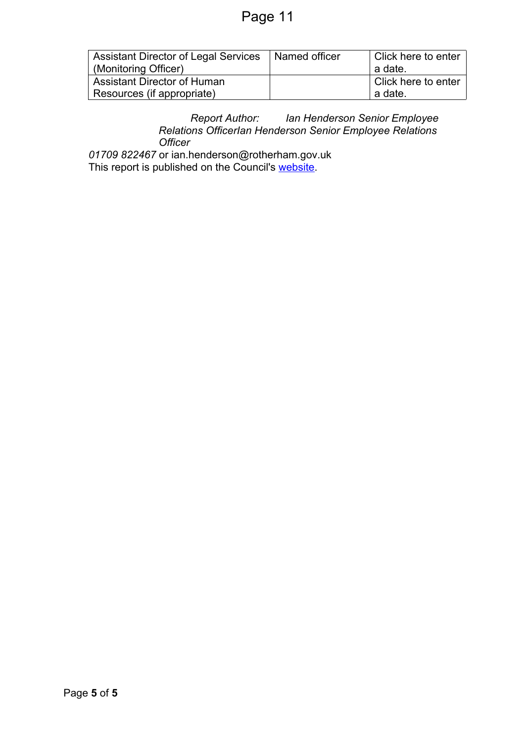| <b>Assistant Director of Legal Services</b><br>(Monitoring Officer) | Named officer | Click here to enter<br>$\perp$ a date. |
|---------------------------------------------------------------------|---------------|----------------------------------------|
| <b>Assistant Director of Human</b>                                  |               | Click here to enter                    |
| Resources (if appropriate)                                          |               | $\perp$ a date.                        |

#### *Report Author: Ian Henderson Senior Employee Relations OfficerIan [Henderson](#page-7-1) Senior Employee Relations [Officer](#page-7-1)*

*01709 822467* or [ian.henderson@rotherham.gov.uk](#page-7-1) This report is published on the Council's [website.](https://moderngov.rotherham.gov.uk/ieDocHome.aspx?Categories=)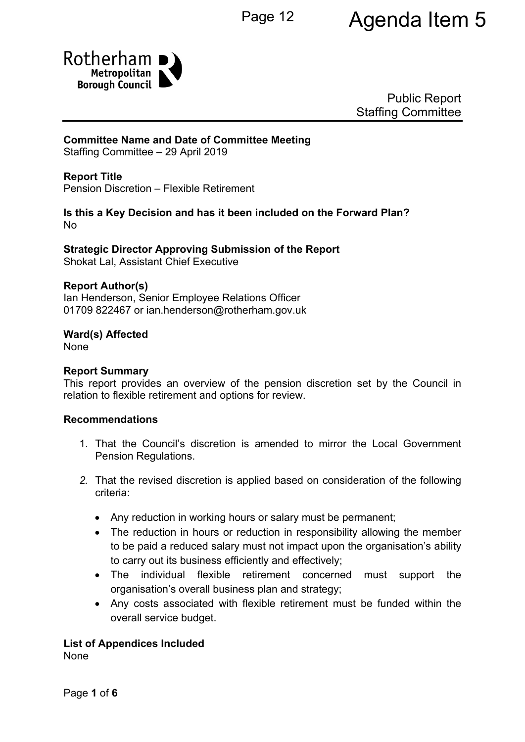# Page 12 **Agenda Item 5**



Public Report Staffing Committee

#### **Committee Name and Date of Committee Meeting**

Staffing Committee – 29 April 2019

#### **Report Title**

Pension Discretion – Flexible Retirement

#### **Is this a Key Decision and has it been included on the Forward Plan?** No

**Strategic Director Approving Submission of the Report** Shokat Lal, Assistant Chief Executive

### **Report Author(s)**

Ian Henderson, Senior Employee Relations Officer 01709 822467 or ian.henderson@rotherham.gov.uk

#### **Ward(s) Affected**

None

#### **Report Summary**

This report provides an overview of the pension discretion set by the Council in relation to flexible retirement and options for review.

#### **Recommendations**

- 1. That the Council's discretion is amended to mirror the Local Government Pension Regulations.
- *2.* That the revised discretion is applied based on consideration of the following criteria:
	- Any reduction in working hours or salary must be permanent;
	- The reduction in hours or reduction in responsibility allowing the member to be paid a reduced salary must not impact upon the organisation's ability to carry out its business efficiently and effectively;
	- The individual flexible retirement concerned must support the organisation's overall business plan and strategy;
	- Any costs associated with flexible retirement must be funded within the overall service budget.

#### **List of Appendices Included**

None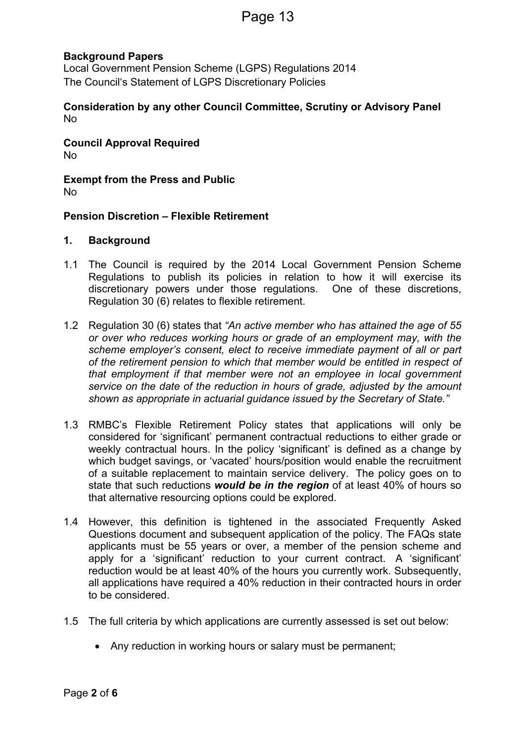#### **Background Papers**

Local Government Pension Scheme (LGPS) Regulations 2014 The Council's Statement of LGPS Discretionary Policies

**Consideration by any other Council Committee, Scrutiny or Advisory Panel** No

**Council Approval Required** No

**Exempt from the Press and Public** No

#### **Pension Discretion – Flexible Retirement**

#### **1. Background**

- 1.1 The Council is required by the 2014 Local Government Pension Scheme Regulations to publish its policies in relation to how it will exercise its discretionary powers under those regulations. One of these discretions, Regulation 30 (6) relates to flexible retirement.
- 1.2 Regulation 30 (6) states that *"An active member who has attained the age of 55 or over who reduces working hours or grade of an employment may, with the scheme employer's consent, elect to receive immediate payment of all or part of the retirement pension to which that member would be entitled in respect of that employment if that member were not an employee in local government service on the date of the reduction in hours of grade, adjusted by the amount shown as appropriate in actuarial guidance issued by the Secretary of State."*
- 1.3 RMBC's Flexible Retirement Policy states that applications will only be considered for 'significant' permanent contractual reductions to either grade or weekly contractual hours. In the policy 'significant' is defined as a change by which budget savings, or 'vacated' hours/position would enable the recruitment of a suitable replacement to maintain service delivery. The policy goes on to state that such reductions *would be in the region* of at least 40% of hours so that alternative resourcing options could be explored.
- 1.4 However, this definition is tightened in the associated Frequently Asked Questions document and subsequent application of the policy. The FAQs state applicants must be 55 years or over, a member of the pension scheme and apply for a 'significant' reduction to your current contract. A 'significant' reduction would be at least 40% of the hours you currently work. Subsequently, all applications have required a 40% reduction in their contracted hours in order to be considered.
- 1.5 The full criteria by which applications are currently assessed is set out below:
	- Any reduction in working hours or salary must be permanent;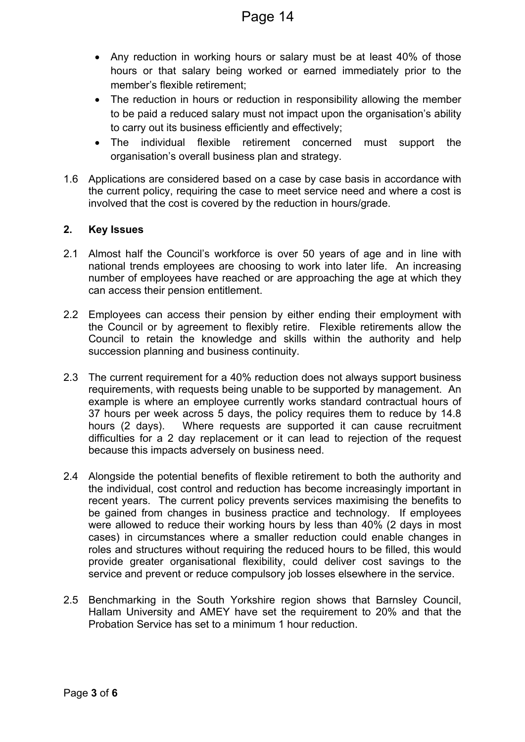- Any reduction in working hours or salary must be at least 40% of those hours or that salary being worked or earned immediately prior to the member's flexible retirement;
- The reduction in hours or reduction in responsibility allowing the member to be paid a reduced salary must not impact upon the organisation's ability to carry out its business efficiently and effectively;
- The individual flexible retirement concerned must support the organisation's overall business plan and strategy.
- 1.6 Applications are considered based on a case by case basis in accordance with the current policy, requiring the case to meet service need and where a cost is involved that the cost is covered by the reduction in hours/grade.

#### **2. Key Issues**

- 2.1 Almost half the Council's workforce is over 50 years of age and in line with national trends employees are choosing to work into later life. An increasing number of employees have reached or are approaching the age at which they can access their pension entitlement.
- 2.2 Employees can access their pension by either ending their employment with the Council or by agreement to flexibly retire. Flexible retirements allow the Council to retain the knowledge and skills within the authority and help succession planning and business continuity.
- 2.3 The current requirement for a 40% reduction does not always support business requirements, with requests being unable to be supported by management. An example is where an employee currently works standard contractual hours of 37 hours per week across 5 days, the policy requires them to reduce by 14.8 hours (2 days). Where requests are supported it can cause recruitment difficulties for a 2 day replacement or it can lead to rejection of the request because this impacts adversely on business need.
- 2.4 Alongside the potential benefits of flexible retirement to both the authority and the individual, cost control and reduction has become increasingly important in recent years. The current policy prevents services maximising the benefits to be gained from changes in business practice and technology. If employees were allowed to reduce their working hours by less than 40% (2 days in most cases) in circumstances where a smaller reduction could enable changes in roles and structures without requiring the reduced hours to be filled, this would provide greater organisational flexibility, could deliver cost savings to the service and prevent or reduce compulsory job losses elsewhere in the service.
- 2.5 Benchmarking in the South Yorkshire region shows that Barnsley Council, Hallam University and AMEY have set the requirement to 20% and that the Probation Service has set to a minimum 1 hour reduction.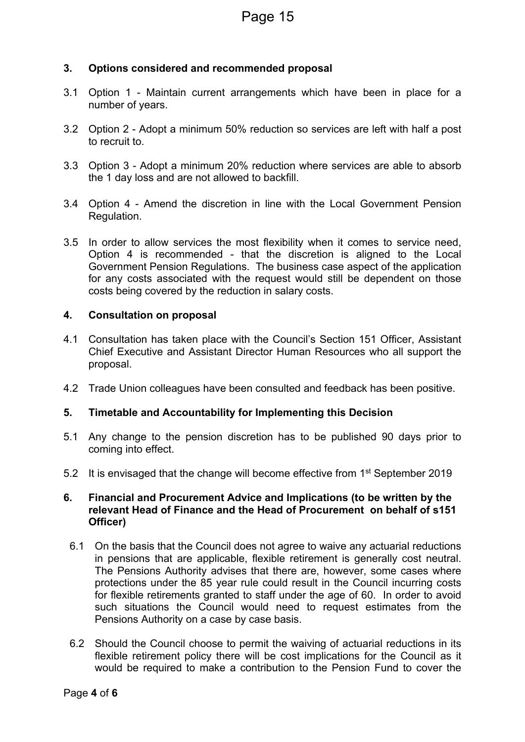#### **3. Options considered and recommended proposal**

- 3.1 Option 1 Maintain current arrangements which have been in place for a number of years.
- 3.2 Option 2 Adopt a minimum 50% reduction so services are left with half a post to recruit to.
- 3.3 Option 3 Adopt a minimum 20% reduction where services are able to absorb the 1 day loss and are not allowed to backfill.
- 3.4 Option 4 Amend the discretion in line with the Local Government Pension Regulation.
- 3.5 In order to allow services the most flexibility when it comes to service need, Option 4 is recommended - that the discretion is aligned to the Local Government Pension Regulations. The business case aspect of the application for any costs associated with the request would still be dependent on those costs being covered by the reduction in salary costs.

#### **4. Consultation on proposal**

- 4.1 Consultation has taken place with the Council's Section 151 Officer, Assistant Chief Executive and Assistant Director Human Resources who all support the proposal.
- 4.2 Trade Union colleagues have been consulted and feedback has been positive.

#### **5. Timetable and Accountability for Implementing this Decision**

- 5.1 Any change to the pension discretion has to be published 90 days prior to coming into effect.
- 5.2 It is envisaged that the change will become effective from 1<sup>st</sup> September 2019

#### **6. Financial and Procurement Advice and Implications (to be written by the relevant Head of Finance and the Head of Procurement on behalf of s151 Officer)**

- 6.1 On the basis that the Council does not agree to waive any actuarial reductions in pensions that are applicable, flexible retirement is generally cost neutral. The Pensions Authority advises that there are, however, some cases where protections under the 85 year rule could result in the Council incurring costs for flexible retirements granted to staff under the age of 60. In order to avoid such situations the Council would need to request estimates from the Pensions Authority on a case by case basis.
- 6.2 Should the Council choose to permit the waiving of actuarial reductions in its flexible retirement policy there will be cost implications for the Council as it would be required to make a contribution to the Pension Fund to cover the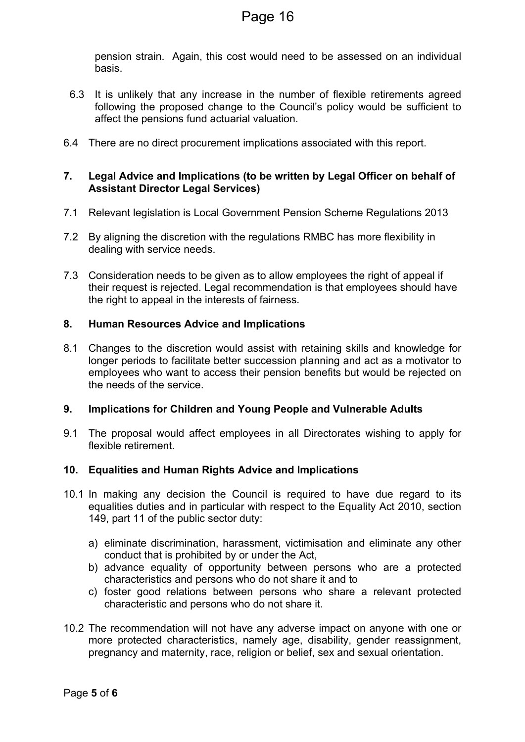pension strain. Again, this cost would need to be assessed on an individual basis.

- 6.3 It is unlikely that any increase in the number of flexible retirements agreed following the proposed change to the Council's policy would be sufficient to affect the pensions fund actuarial valuation.
- 6.4 There are no direct procurement implications associated with this report.

#### **7. Legal Advice and Implications (to be written by Legal Officer on behalf of Assistant Director Legal Services)**

- 7.1 Relevant legislation is Local Government Pension Scheme Regulations 2013
- 7.2 By aligning the discretion with the regulations RMBC has more flexibility in dealing with service needs.
- 7.3 Consideration needs to be given as to allow employees the right of appeal if their request is rejected. Legal recommendation is that employees should have the right to appeal in the interests of fairness.

#### **8. Human Resources Advice and Implications**

8.1 Changes to the discretion would assist with retaining skills and knowledge for longer periods to facilitate better succession planning and act as a motivator to employees who want to access their pension benefits but would be rejected on the needs of the service.

#### **9. Implications for Children and Young People and Vulnerable Adults**

9.1 The proposal would affect employees in all Directorates wishing to apply for flexible retirement.

#### **10. Equalities and Human Rights Advice and Implications**

- 10.1 In making any decision the Council is required to have due regard to its equalities duties and in particular with respect to the Equality Act 2010, section 149, part 11 of the public sector duty:
	- a) eliminate discrimination, harassment, victimisation and eliminate any other conduct that is prohibited by or under the Act,
	- b) advance equality of opportunity between persons who are a protected characteristics and persons who do not share it and to
	- c) foster good relations between persons who share a relevant protected characteristic and persons who do not share it.
- 10.2 The recommendation will not have any adverse impact on anyone with one or more protected characteristics, namely age, disability, gender reassignment, pregnancy and maternity, race, religion or belief, sex and sexual orientation.